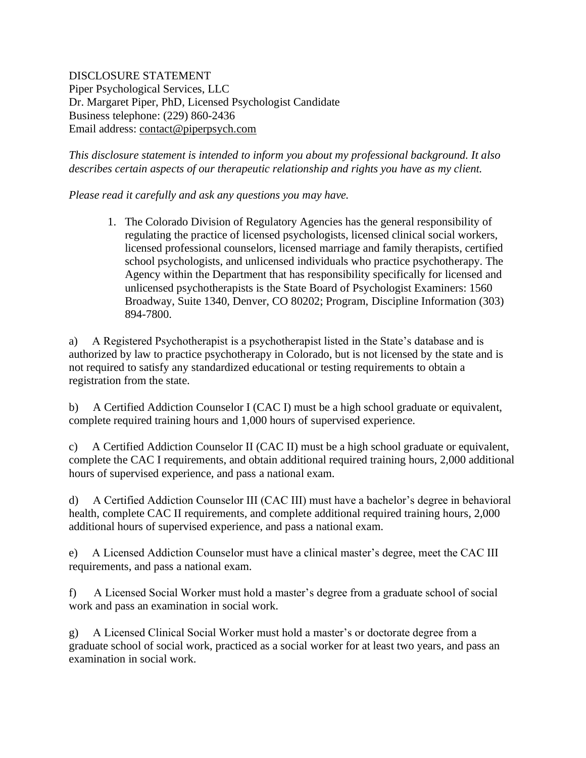DISCLOSURE STATEMENT Piper Psychological Services, LLC Dr. Margaret Piper, PhD, Licensed Psychologist Candidate Business telephone: (229) 860-2436 Email address: [contact@piperpsych.com](mailto:contact@piperpsych.com)

*This disclosure statement is intended to inform you about my professional background. It also describes certain aspects of our therapeutic relationship and rights you have as my client.*

*Please read it carefully and ask any questions you may have.*

1. The Colorado Division of Regulatory Agencies has the general responsibility of regulating the practice of licensed psychologists, licensed clinical social workers, licensed professional counselors, licensed marriage and family therapists, certified school psychologists, and unlicensed individuals who practice psychotherapy. The Agency within the Department that has responsibility specifically for licensed and unlicensed psychotherapists is the State Board of Psychologist Examiners: 1560 Broadway, Suite 1340, Denver, CO 80202; Program, Discipline Information (303) 894-7800.

a) A Registered Psychotherapist is a psychotherapist listed in the State's database and is authorized by law to practice psychotherapy in Colorado, but is not licensed by the state and is not required to satisfy any standardized educational or testing requirements to obtain a registration from the state.

b) A Certified Addiction Counselor I (CAC I) must be a high school graduate or equivalent, complete required training hours and 1,000 hours of supervised experience.

c) A Certified Addiction Counselor II (CAC II) must be a high school graduate or equivalent, complete the CAC I requirements, and obtain additional required training hours, 2,000 additional hours of supervised experience, and pass a national exam.

d) A Certified Addiction Counselor III (CAC III) must have a bachelor's degree in behavioral health, complete CAC II requirements, and complete additional required training hours, 2,000 additional hours of supervised experience, and pass a national exam.

e) A Licensed Addiction Counselor must have a clinical master's degree, meet the CAC III requirements, and pass a national exam.

f) A Licensed Social Worker must hold a master's degree from a graduate school of social work and pass an examination in social work.

g) A Licensed Clinical Social Worker must hold a master's or doctorate degree from a graduate school of social work, practiced as a social worker for at least two years, and pass an examination in social work.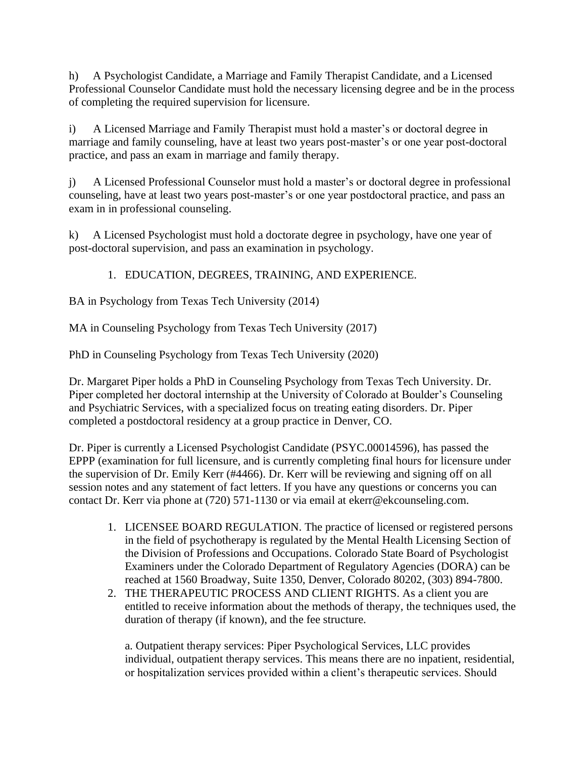h) A Psychologist Candidate, a Marriage and Family Therapist Candidate, and a Licensed Professional Counselor Candidate must hold the necessary licensing degree and be in the process of completing the required supervision for licensure.

i) A Licensed Marriage and Family Therapist must hold a master's or doctoral degree in marriage and family counseling, have at least two years post-master's or one year post-doctoral practice, and pass an exam in marriage and family therapy.

j) A Licensed Professional Counselor must hold a master's or doctoral degree in professional counseling, have at least two years post-master's or one year postdoctoral practice, and pass an exam in in professional counseling.

k) A Licensed Psychologist must hold a doctorate degree in psychology, have one year of post-doctoral supervision, and pass an examination in psychology.

1. EDUCATION, DEGREES, TRAINING, AND EXPERIENCE.

BA in Psychology from Texas Tech University (2014)

MA in Counseling Psychology from Texas Tech University (2017)

PhD in Counseling Psychology from Texas Tech University (2020)

Dr. Margaret Piper holds a PhD in Counseling Psychology from Texas Tech University. Dr. Piper completed her doctoral internship at the University of Colorado at Boulder's Counseling and Psychiatric Services, with a specialized focus on treating eating disorders. Dr. Piper completed a postdoctoral residency at a group practice in Denver, CO.

Dr. Piper is currently a Licensed Psychologist Candidate (PSYC.00014596), has passed the EPPP (examination for full licensure, and is currently completing final hours for licensure under the supervision of Dr. Emily Kerr (#4466). Dr. Kerr will be reviewing and signing off on all session notes and any statement of fact letters. If you have any questions or concerns you can contact Dr. Kerr via phone at (720) 571-1130 or via email at ekerr@ekcounseling.com.

- 1. LICENSEE BOARD REGULATION. The practice of licensed or registered persons in the field of psychotherapy is regulated by the Mental Health Licensing Section of the Division of Professions and Occupations. Colorado State Board of Psychologist Examiners under the Colorado Department of Regulatory Agencies (DORA) can be reached at 1560 Broadway, Suite 1350, Denver, Colorado 80202, (303) 894-7800.
- 2. THE THERAPEUTIC PROCESS AND CLIENT RIGHTS. As a client you are entitled to receive information about the methods of therapy, the techniques used, the duration of therapy (if known), and the fee structure.

a. Outpatient therapy services: Piper Psychological Services, LLC provides individual, outpatient therapy services. This means there are no inpatient, residential, or hospitalization services provided within a client's therapeutic services. Should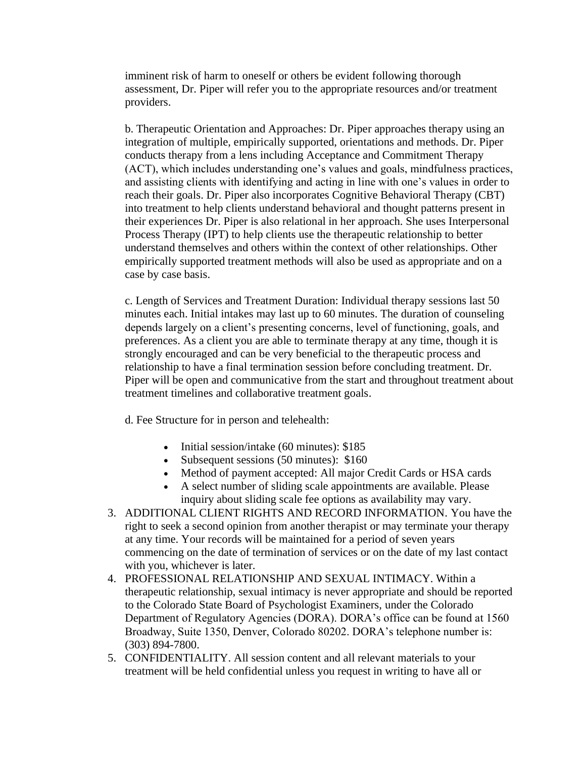imminent risk of harm to oneself or others be evident following thorough assessment, Dr. Piper will refer you to the appropriate resources and/or treatment providers.

b. Therapeutic Orientation and Approaches: Dr. Piper approaches therapy using an integration of multiple, empirically supported, orientations and methods. Dr. Piper conducts therapy from a lens including Acceptance and Commitment Therapy (ACT), which includes understanding one's values and goals, mindfulness practices, and assisting clients with identifying and acting in line with one's values in order to reach their goals. Dr. Piper also incorporates Cognitive Behavioral Therapy (CBT) into treatment to help clients understand behavioral and thought patterns present in their experiences Dr. Piper is also relational in her approach. She uses Interpersonal Process Therapy (IPT) to help clients use the therapeutic relationship to better understand themselves and others within the context of other relationships. Other empirically supported treatment methods will also be used as appropriate and on a case by case basis.

c. Length of Services and Treatment Duration: Individual therapy sessions last 50 minutes each. Initial intakes may last up to 60 minutes. The duration of counseling depends largely on a client's presenting concerns, level of functioning, goals, and preferences. As a client you are able to terminate therapy at any time, though it is strongly encouraged and can be very beneficial to the therapeutic process and relationship to have a final termination session before concluding treatment. Dr. Piper will be open and communicative from the start and throughout treatment about treatment timelines and collaborative treatment goals.

d. Fee Structure for in person and telehealth:

- Initial session/intake (60 minutes): \$185
- Subsequent sessions (50 minutes): \$160
- Method of payment accepted: All major Credit Cards or HSA cards
- A select number of sliding scale appointments are available. Please inquiry about sliding scale fee options as availability may vary.
- 3. ADDITIONAL CLIENT RIGHTS AND RECORD INFORMATION. You have the right to seek a second opinion from another therapist or may terminate your therapy at any time. Your records will be maintained for a period of seven years commencing on the date of termination of services or on the date of my last contact with you, whichever is later.
- 4. PROFESSIONAL RELATIONSHIP AND SEXUAL INTIMACY. Within a therapeutic relationship, sexual intimacy is never appropriate and should be reported to the Colorado State Board of Psychologist Examiners, under the Colorado Department of Regulatory Agencies (DORA). DORA's office can be found at 1560 Broadway, Suite 1350, Denver, Colorado 80202. DORA's telephone number is: (303) 894-7800.
- 5. CONFIDENTIALITY. All session content and all relevant materials to your treatment will be held confidential unless you request in writing to have all or